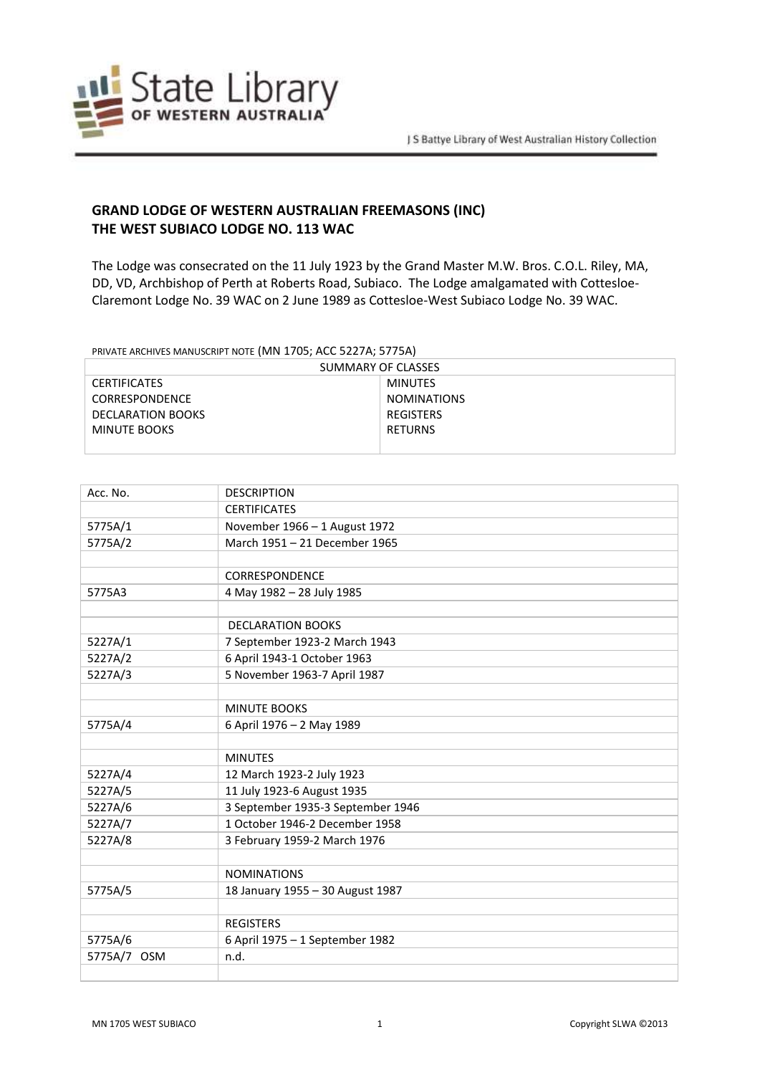

## **GRAND LODGE OF WESTERN AUSTRALIAN FREEMASONS (INC) THE WEST SUBIACO LODGE NO. 113 WAC**

The Lodge was consecrated on the 11 July 1923 by the Grand Master M.W. Bros. C.O.L. Riley, MA, DD, VD, Archbishop of Perth at Roberts Road, Subiaco. The Lodge amalgamated with Cottesloe-Claremont Lodge No. 39 WAC on 2 June 1989 as Cottesloe-West Subiaco Lodge No. 39 WAC.

PRIVATE ARCHIVES MANUSCRIPT NOTE (MN 1705; ACC 5227A; 5775A)

| SUMMARY OF CLASSES  |                    |  |
|---------------------|--------------------|--|
| <b>CERTIFICATES</b> | MINUTES            |  |
| CORRESPONDENCE      | <b>NOMINATIONS</b> |  |
| DECLARATION BOOKS   | REGISTERS          |  |
| MINUTE BOOKS        | <b>RETURNS</b>     |  |
|                     |                    |  |

| Acc. No.              | <b>DESCRIPTION</b>                |
|-----------------------|-----------------------------------|
|                       | <b>CERTIFICATES</b>               |
| 5775A/1               | November 1966 - 1 August 1972     |
| 5775A/2               | March 1951 - 21 December 1965     |
|                       |                                   |
|                       | <b>CORRESPONDENCE</b>             |
| 5775A3                | 4 May 1982 - 28 July 1985         |
|                       |                                   |
|                       | <b>DECLARATION BOOKS</b>          |
| 5227A/1               | 7 September 1923-2 March 1943     |
| 5227A/2               | 6 April 1943-1 October 1963       |
| 5227A/3               | 5 November 1963-7 April 1987      |
|                       |                                   |
|                       | <b>MINUTE BOOKS</b>               |
| 5775A/4               | 6 April 1976 - 2 May 1989         |
|                       |                                   |
|                       | <b>MINUTES</b>                    |
| 5227A/4               | 12 March 1923-2 July 1923         |
| 5227A/5               | 11 July 1923-6 August 1935        |
| 5227A/6               | 3 September 1935-3 September 1946 |
| 5227A/7               | 1 October 1946-2 December 1958    |
| 5227A/8               | 3 February 1959-2 March 1976      |
|                       |                                   |
|                       | <b>NOMINATIONS</b>                |
| 5775A/5               | 18 January 1955 - 30 August 1987  |
|                       |                                   |
|                       | <b>REGISTERS</b>                  |
| 5775A/6               | 6 April 1975 - 1 September 1982   |
| 5775A/7<br><b>OSM</b> | n.d.                              |
|                       |                                   |